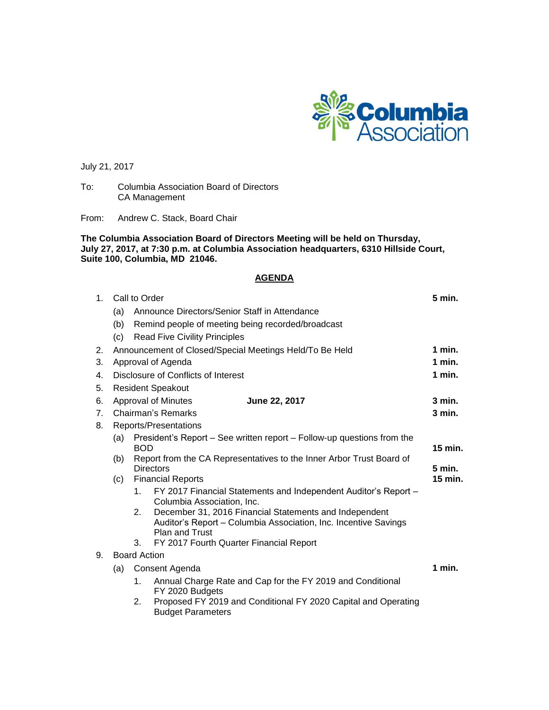

July 21, 2017

To: Columbia Association Board of Directors CA Management

From: Andrew C. Stack, Board Chair

**The Columbia Association Board of Directors Meeting will be held on Thursday, July 27, 2017, at 7:30 p.m. at Columbia Association headquarters, 6310 Hillside Court, Suite 100, Columbia, MD 21046.**

## **AGENDA**

| 1 <sub>1</sub> | Call to Order                                                                                               |                                                                     |                                                                                                                           |  |  |  |  |  |  |  |
|----------------|-------------------------------------------------------------------------------------------------------------|---------------------------------------------------------------------|---------------------------------------------------------------------------------------------------------------------------|--|--|--|--|--|--|--|
|                | Announce Directors/Senior Staff in Attendance<br>(a)                                                        |                                                                     |                                                                                                                           |  |  |  |  |  |  |  |
|                | (b)<br>Remind people of meeting being recorded/broadcast                                                    |                                                                     |                                                                                                                           |  |  |  |  |  |  |  |
|                | <b>Read Five Civility Principles</b><br>(c)                                                                 |                                                                     |                                                                                                                           |  |  |  |  |  |  |  |
| 2.             |                                                                                                             | $1$ min.<br>Announcement of Closed/Special Meetings Held/To Be Held |                                                                                                                           |  |  |  |  |  |  |  |
| 3.             | Approval of Agenda                                                                                          |                                                                     |                                                                                                                           |  |  |  |  |  |  |  |
| 4.             | Disclosure of Conflicts of Interest                                                                         |                                                                     |                                                                                                                           |  |  |  |  |  |  |  |
| 5.             |                                                                                                             | <b>Resident Speakout</b>                                            |                                                                                                                           |  |  |  |  |  |  |  |
| 6.             |                                                                                                             | 3 min.<br><b>Approval of Minutes</b><br>June 22, 2017               |                                                                                                                           |  |  |  |  |  |  |  |
| 7 <sub>1</sub> |                                                                                                             | $3$ min.<br>Chairman's Remarks                                      |                                                                                                                           |  |  |  |  |  |  |  |
| 8.             | Reports/Presentations                                                                                       |                                                                     |                                                                                                                           |  |  |  |  |  |  |  |
|                | President's Report – See written report – Follow-up questions from the<br>(a)                               |                                                                     |                                                                                                                           |  |  |  |  |  |  |  |
|                |                                                                                                             |                                                                     | <b>BOD</b>                                                                                                                |  |  |  |  |  |  |  |
|                | Report from the CA Representatives to the Inner Arbor Trust Board of<br>(b)<br>$5$ min.<br><b>Directors</b> |                                                                     |                                                                                                                           |  |  |  |  |  |  |  |
|                | (c)                                                                                                         | <b>Financial Reports</b><br>15 min.                                 |                                                                                                                           |  |  |  |  |  |  |  |
|                |                                                                                                             | $1_{-}$                                                             | FY 2017 Financial Statements and Independent Auditor's Report -                                                           |  |  |  |  |  |  |  |
|                |                                                                                                             |                                                                     | Columbia Association, Inc.                                                                                                |  |  |  |  |  |  |  |
|                |                                                                                                             | 2.                                                                  | December 31, 2016 Financial Statements and Independent<br>Auditor's Report - Columbia Association, Inc. Incentive Savings |  |  |  |  |  |  |  |
|                |                                                                                                             |                                                                     | <b>Plan and Trust</b>                                                                                                     |  |  |  |  |  |  |  |
|                |                                                                                                             | FY 2017 Fourth Quarter Financial Report                             |                                                                                                                           |  |  |  |  |  |  |  |
| 9.             | <b>Board Action</b>                                                                                         |                                                                     |                                                                                                                           |  |  |  |  |  |  |  |
|                | Consent Agenda<br>(a)                                                                                       |                                                                     |                                                                                                                           |  |  |  |  |  |  |  |
|                |                                                                                                             | 1.                                                                  | Annual Charge Rate and Cap for the FY 2019 and Conditional<br>FY 2020 Budgets                                             |  |  |  |  |  |  |  |
|                |                                                                                                             | 2.                                                                  | Proposed FY 2019 and Conditional FY 2020 Capital and Operating<br><b>Budget Parameters</b>                                |  |  |  |  |  |  |  |